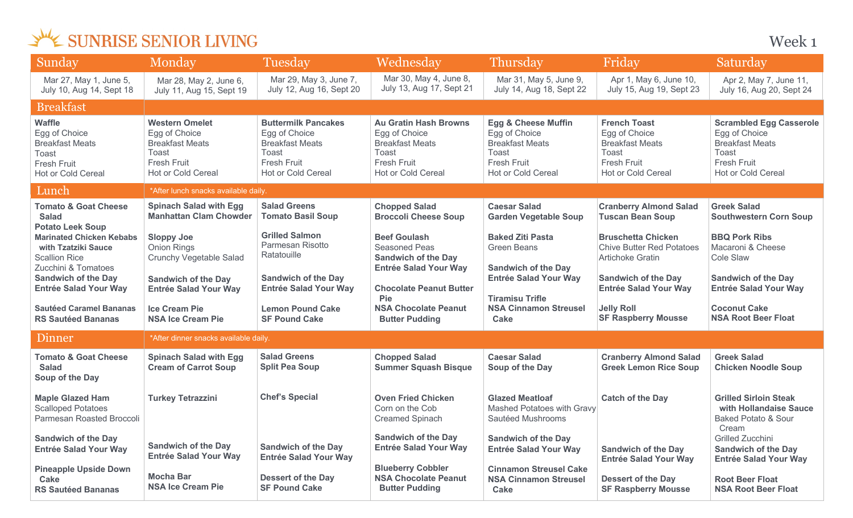Week 1

| Sunday                                                                                                                                                         | Monday                                                                                                                       | Tuesday                                                                                                                    | Wednesday                                                                                                                    | <b>Thursday</b>                                                                                                                | Friday                                                                                                                 | Saturday                                                                                                                              |  |
|----------------------------------------------------------------------------------------------------------------------------------------------------------------|------------------------------------------------------------------------------------------------------------------------------|----------------------------------------------------------------------------------------------------------------------------|------------------------------------------------------------------------------------------------------------------------------|--------------------------------------------------------------------------------------------------------------------------------|------------------------------------------------------------------------------------------------------------------------|---------------------------------------------------------------------------------------------------------------------------------------|--|
| Mar 27, May 1, June 5,<br>July 10, Aug 14, Sept 18                                                                                                             | Mar 28, May 2, June 6,<br>July 11, Aug 15, Sept 19                                                                           | Mar 29, May 3, June 7,<br>July 12, Aug 16, Sept 20                                                                         | Mar 30, May 4, June 8,<br>July 13, Aug 17, Sept 21                                                                           | Mar 31, May 5, June 9,<br>July 14, Aug 18, Sept 22                                                                             | Apr 1, May 6, June 10,<br>July 15, Aug 19, Sept 23                                                                     | Apr 2, May 7, June 11,<br>July 16, Aug 20, Sept 24                                                                                    |  |
| <b>Breakfast</b>                                                                                                                                               |                                                                                                                              |                                                                                                                            |                                                                                                                              |                                                                                                                                |                                                                                                                        |                                                                                                                                       |  |
| <b>Waffle</b><br>Egg of Choice<br><b>Breakfast Meats</b><br>Toast<br><b>Fresh Fruit</b><br>Hot or Cold Cereal                                                  | <b>Western Omelet</b><br>Egg of Choice<br><b>Breakfast Meats</b><br><b>Toast</b><br><b>Fresh Fruit</b><br>Hot or Cold Cereal | <b>Buttermilk Pancakes</b><br>Egg of Choice<br><b>Breakfast Meats</b><br>Toast<br><b>Fresh Fruit</b><br>Hot or Cold Cereal | <b>Au Gratin Hash Browns</b><br>Egg of Choice<br><b>Breakfast Meats</b><br>Toast<br><b>Fresh Fruit</b><br>Hot or Cold Cereal | <b>Egg &amp; Cheese Muffin</b><br>Egg of Choice<br><b>Breakfast Meats</b><br>Toast<br><b>Fresh Fruit</b><br>Hot or Cold Cereal | <b>French Toast</b><br>Egg of Choice<br><b>Breakfast Meats</b><br>Toast<br><b>Fresh Fruit</b><br>Hot or Cold Cereal    | <b>Scrambled Egg Casserole</b><br>Egg of Choice<br><b>Breakfast Meats</b><br><b>Toast</b><br><b>Fresh Fruit</b><br>Hot or Cold Cereal |  |
| Lunch                                                                                                                                                          | *After lunch snacks available daily.                                                                                         |                                                                                                                            |                                                                                                                              |                                                                                                                                |                                                                                                                        |                                                                                                                                       |  |
| <b>Tomato &amp; Goat Cheese</b><br><b>Salad</b>                                                                                                                | <b>Spinach Salad with Egg</b><br><b>Manhattan Clam Chowder</b>                                                               | <b>Salad Greens</b><br><b>Tomato Basil Soup</b>                                                                            | <b>Chopped Salad</b><br><b>Broccoli Cheese Soup</b>                                                                          | <b>Caesar Salad</b><br><b>Garden Vegetable Soup</b>                                                                            | <b>Cranberry Almond Salad</b><br><b>Tuscan Bean Soup</b>                                                               | <b>Greek Salad</b><br><b>Southwestern Corn Soup</b>                                                                                   |  |
| <b>Potato Leek Soup</b><br><b>Marinated Chicken Kebabs</b><br>with Tzatziki Sauce<br><b>Scallion Rice</b><br>Zucchini & Tomatoes<br><b>Sandwich of the Day</b> | <b>Sloppy Joe</b><br>Onion Rings<br>Crunchy Vegetable Salad<br><b>Sandwich of the Day</b>                                    | <b>Grilled Salmon</b><br>Parmesan Risotto<br>Ratatouille<br><b>Sandwich of the Day</b>                                     | <b>Beef Goulash</b><br><b>Seasoned Peas</b><br><b>Sandwich of the Day</b><br><b>Entrée Salad Your Way</b>                    | <b>Baked Ziti Pasta</b><br><b>Green Beans</b><br><b>Sandwich of the Day</b><br><b>Entrée Salad Your Way</b>                    | <b>Bruschetta Chicken</b><br><b>Chive Butter Red Potatoes</b><br><b>Artichoke Gratin</b><br><b>Sandwich of the Day</b> | <b>BBQ Pork Ribs</b><br>Macaroni & Cheese<br>Cole Slaw<br><b>Sandwich of the Day</b>                                                  |  |
| <b>Entrée Salad Your Way</b>                                                                                                                                   | <b>Entrée Salad Your Way</b>                                                                                                 | <b>Entrée Salad Your Way</b>                                                                                               | <b>Chocolate Peanut Butter</b><br>Pie                                                                                        | <b>Tiramisu Trifle</b>                                                                                                         | <b>Entrée Salad Your Way</b>                                                                                           | <b>Entrée Salad Your Way</b>                                                                                                          |  |
| <b>Sautéed Caramel Bananas</b><br><b>RS Sautéed Bananas</b>                                                                                                    | <b>Ice Cream Pie</b><br><b>NSA Ice Cream Pie</b>                                                                             | <b>Lemon Pound Cake</b><br><b>SF Pound Cake</b>                                                                            | <b>NSA Chocolate Peanut</b><br><b>Butter Pudding</b>                                                                         | <b>NSA Cinnamon Streusel</b><br><b>Cake</b>                                                                                    | <b>Jelly Roll</b><br><b>SF Raspberry Mousse</b>                                                                        | <b>Coconut Cake</b><br><b>NSA Root Beer Float</b>                                                                                     |  |
| Dinner                                                                                                                                                         | *After dinner snacks available daily.                                                                                        |                                                                                                                            |                                                                                                                              |                                                                                                                                |                                                                                                                        |                                                                                                                                       |  |
| <b>Tomato &amp; Goat Cheese</b><br><b>Salad</b><br>Soup of the Day                                                                                             | <b>Spinach Salad with Egg</b><br><b>Cream of Carrot Soup</b>                                                                 | <b>Salad Greens</b><br><b>Split Pea Soup</b>                                                                               | <b>Chopped Salad</b><br><b>Summer Squash Bisque</b>                                                                          | <b>Caesar Salad</b><br>Soup of the Day                                                                                         | <b>Cranberry Almond Salad</b><br><b>Greek Lemon Rice Soup</b>                                                          | <b>Greek Salad</b><br><b>Chicken Noodle Soup</b>                                                                                      |  |
| <b>Maple Glazed Ham</b><br><b>Scalloped Potatoes</b><br>Parmesan Roasted Broccoli                                                                              | <b>Turkey Tetrazzini</b>                                                                                                     | <b>Chef's Special</b>                                                                                                      | <b>Oven Fried Chicken</b><br>Corn on the Cob<br><b>Creamed Spinach</b>                                                       | <b>Glazed Meatloaf</b><br>Mashed Potatoes with Gravy<br>Sautéed Mushrooms                                                      | <b>Catch of the Day</b>                                                                                                | <b>Grilled Sirloin Steak</b><br>with Hollandaise Sauce<br><b>Baked Potato &amp; Sour</b><br>Cream                                     |  |
| <b>Sandwich of the Day</b><br><b>Entrée Salad Your Way</b>                                                                                                     | <b>Sandwich of the Day</b><br><b>Entrée Salad Your Way</b>                                                                   | <b>Sandwich of the Day</b><br><b>Entrée Salad Your Way</b>                                                                 | <b>Sandwich of the Day</b><br><b>Entrée Salad Your Way</b>                                                                   | <b>Sandwich of the Day</b><br><b>Entrée Salad Your Way</b>                                                                     | <b>Sandwich of the Day</b><br><b>Entrée Salad Your Way</b>                                                             | Grilled Zucchini<br><b>Sandwich of the Day</b><br><b>Entrée Salad Your Way</b>                                                        |  |
| <b>Pineapple Upside Down</b><br>Cake<br><b>RS Sautéed Bananas</b>                                                                                              | <b>Mocha Bar</b><br><b>NSA Ice Cream Pie</b>                                                                                 | <b>Dessert of the Day</b><br><b>SF Pound Cake</b>                                                                          | <b>Blueberry Cobbler</b><br><b>NSA Chocolate Peanut</b><br><b>Butter Pudding</b>                                             | <b>Cinnamon Streusel Cake</b><br><b>NSA Cinnamon Streusel</b><br>Cake                                                          | <b>Dessert of the Day</b><br><b>SF Raspberry Mousse</b>                                                                | <b>Root Beer Float</b><br><b>NSA Root Beer Float</b>                                                                                  |  |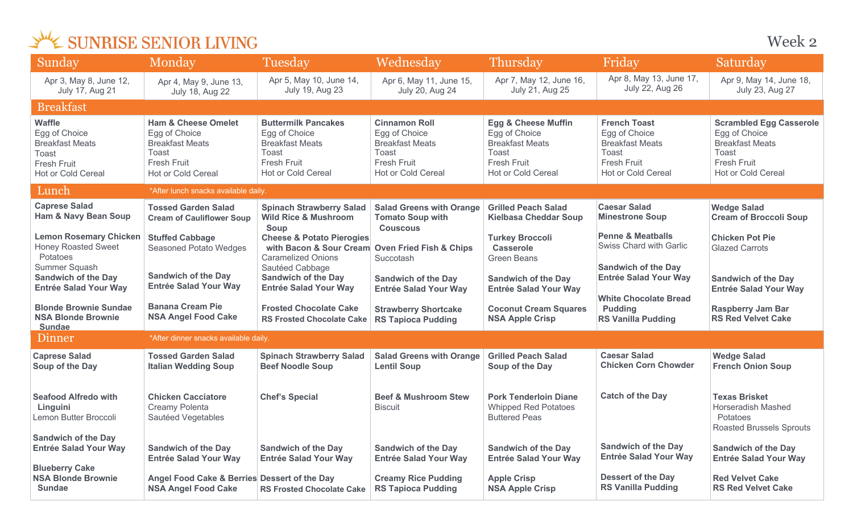| Sunday                                                                                                                 | Monday                                                                                                                                | Tuesday                                                                                                                                                                       | Wednesday                                                                                                                   | <b>Thursday</b>                                                                                                                | Friday                                                                                                                | Saturday                                                                                                                              |
|------------------------------------------------------------------------------------------------------------------------|---------------------------------------------------------------------------------------------------------------------------------------|-------------------------------------------------------------------------------------------------------------------------------------------------------------------------------|-----------------------------------------------------------------------------------------------------------------------------|--------------------------------------------------------------------------------------------------------------------------------|-----------------------------------------------------------------------------------------------------------------------|---------------------------------------------------------------------------------------------------------------------------------------|
| Apr 3, May 8, June 12,<br>July 17, Aug 21                                                                              | Apr 4, May 9, June 13,<br><b>July 18, Aug 22</b>                                                                                      | Apr 5, May 10, June 14,<br>July 19, Aug 23                                                                                                                                    | Apr 6, May 11, June 15,<br>July 20, Aug 24                                                                                  | Apr 7, May 12, June 16,<br>July 21, Aug 25                                                                                     | Apr 8, May 13, June 17,<br><b>July 22, Aug 26</b>                                                                     | Apr 9, May 14, June 18,<br>July 23, Aug 27                                                                                            |
| <b>Breakfast</b>                                                                                                       |                                                                                                                                       |                                                                                                                                                                               |                                                                                                                             |                                                                                                                                |                                                                                                                       |                                                                                                                                       |
| <b>Waffle</b><br>Egg of Choice<br><b>Breakfast Meats</b><br>Toast<br><b>Fresh Fruit</b><br>Hot or Cold Cereal          | <b>Ham &amp; Cheese Omelet</b><br>Egg of Choice<br><b>Breakfast Meats</b><br><b>Toast</b><br><b>Fresh Fruit</b><br>Hot or Cold Cereal | <b>Buttermilk Pancakes</b><br>Egg of Choice<br><b>Breakfast Meats</b><br><b>Toast</b><br><b>Fresh Fruit</b><br><b>Hot or Cold Cereal</b>                                      | <b>Cinnamon Roll</b><br>Egg of Choice<br><b>Breakfast Meats</b><br>Toast<br><b>Fresh Fruit</b><br><b>Hot or Cold Cereal</b> | <b>Egg &amp; Cheese Muffin</b><br>Egg of Choice<br><b>Breakfast Meats</b><br>Toast<br><b>Fresh Fruit</b><br>Hot or Cold Cereal | <b>French Toast</b><br>Egg of Choice<br><b>Breakfast Meats</b><br>Toast<br><b>Fresh Fruit</b><br>Hot or Cold Cereal   | <b>Scrambled Egg Casserole</b><br>Egg of Choice<br><b>Breakfast Meats</b><br>Toast<br><b>Fresh Fruit</b><br><b>Hot or Cold Cereal</b> |
| Lunch                                                                                                                  | *After lunch snacks available daily.                                                                                                  |                                                                                                                                                                               |                                                                                                                             |                                                                                                                                |                                                                                                                       |                                                                                                                                       |
| <b>Caprese Salad</b><br><b>Ham &amp; Navy Bean Soup</b>                                                                | <b>Tossed Garden Salad</b><br><b>Cream of Cauliflower Soup</b>                                                                        | <b>Spinach Strawberry Salad</b><br><b>Wild Rice &amp; Mushroom</b>                                                                                                            | <b>Salad Greens with Orange</b><br><b>Tomato Soup with</b>                                                                  | <b>Grilled Peach Salad</b><br><b>Kielbasa Cheddar Soup</b>                                                                     | <b>Caesar Salad</b><br><b>Minestrone Soup</b>                                                                         | <b>Wedge Salad</b><br><b>Cream of Broccoli Soup</b>                                                                                   |
| <b>Lemon Rosemary Chicken</b><br><b>Honey Roasted Sweet</b><br>Potatoes<br>Summer Squash<br><b>Sandwich of the Day</b> | <b>Stuffed Cabbage</b><br><b>Seasoned Potato Wedges</b><br><b>Sandwich of the Day</b>                                                 | Soup<br><b>Cheese &amp; Potato Pierogies</b><br>with Bacon & Sour Cream Oven Fried Fish & Chips<br><b>Caramelized Onions</b><br>Sautéed Cabbage<br><b>Sandwich of the Day</b> | <b>Couscous</b><br>Succotash                                                                                                | <b>Turkey Broccoli</b><br><b>Casserole</b><br><b>Green Beans</b>                                                               | <b>Penne &amp; Meatballs</b><br>Swiss Chard with Garlic<br><b>Sandwich of the Day</b><br><b>Entrée Salad Your Way</b> | <b>Chicken Pot Pie</b><br><b>Glazed Carrots</b>                                                                                       |
| <b>Entrée Salad Your Way</b>                                                                                           | <b>Entrée Salad Your Way</b>                                                                                                          | <b>Entrée Salad Your Way</b>                                                                                                                                                  | <b>Sandwich of the Day</b><br><b>Entrée Salad Your Way</b>                                                                  | <b>Sandwich of the Day</b><br><b>Entrée Salad Your Way</b>                                                                     | <b>White Chocolate Bread</b>                                                                                          | <b>Sandwich of the Day</b><br><b>Entrée Salad Your Way</b>                                                                            |
| <b>Blonde Brownie Sundae</b><br><b>NSA Blonde Brownie</b><br><b>Sundae</b>                                             | <b>Banana Cream Pie</b><br><b>NSA Angel Food Cake</b>                                                                                 | <b>Frosted Chocolate Cake</b><br><b>RS Frosted Chocolate Cake</b>                                                                                                             | <b>Strawberry Shortcake</b><br><b>RS Tapioca Pudding</b>                                                                    | <b>Coconut Cream Squares</b><br><b>NSA Apple Crisp</b>                                                                         | <b>Pudding</b><br><b>RS Vanilla Pudding</b>                                                                           | <b>Raspberry Jam Bar</b><br><b>RS Red Velvet Cake</b>                                                                                 |
| Dinner                                                                                                                 | *After dinner snacks available daily.                                                                                                 |                                                                                                                                                                               |                                                                                                                             |                                                                                                                                |                                                                                                                       |                                                                                                                                       |
| <b>Caprese Salad</b><br>Soup of the Day                                                                                | <b>Tossed Garden Salad</b><br><b>Italian Wedding Soup</b>                                                                             | <b>Spinach Strawberry Salad</b><br><b>Beef Noodle Soup</b>                                                                                                                    | <b>Salad Greens with Orange</b><br><b>Lentil Soup</b>                                                                       | <b>Grilled Peach Salad</b><br>Soup of the Day                                                                                  | <b>Caesar Salad</b><br><b>Chicken Corn Chowder</b>                                                                    | <b>Wedge Salad</b><br><b>French Onion Soup</b>                                                                                        |
| <b>Seafood Alfredo with</b><br>Linguini<br>Lemon Butter Broccoli                                                       | <b>Chicken Cacciatore</b><br>Creamy Polenta<br>Sautéed Vegetables                                                                     | <b>Chef's Special</b>                                                                                                                                                         | <b>Beef &amp; Mushroom Stew</b><br><b>Biscuit</b>                                                                           | <b>Pork Tenderloin Diane</b><br><b>Whipped Red Potatoes</b><br><b>Buttered Peas</b>                                            | <b>Catch of the Day</b>                                                                                               | <b>Texas Brisket</b><br><b>Horseradish Mashed</b><br>Potatoes<br><b>Roasted Brussels Sprouts</b>                                      |
| <b>Sandwich of the Day</b><br><b>Entrée Salad Your Way</b>                                                             | <b>Sandwich of the Day</b><br><b>Entrée Salad Your Way</b>                                                                            | <b>Sandwich of the Day</b><br><b>Entrée Salad Your Way</b>                                                                                                                    | <b>Sandwich of the Day</b><br><b>Entrée Salad Your Way</b>                                                                  | <b>Sandwich of the Day</b><br><b>Entrée Salad Your Way</b>                                                                     | <b>Sandwich of the Day</b><br><b>Entrée Salad Your Way</b>                                                            | <b>Sandwich of the Day</b><br><b>Entrée Salad Your Way</b>                                                                            |
| <b>Blueberry Cake</b><br><b>NSA Blonde Brownie</b><br><b>Sundae</b>                                                    | Angel Food Cake & Berries Dessert of the Day<br><b>NSA Angel Food Cake</b>                                                            | <b>RS Frosted Chocolate Cake</b>                                                                                                                                              | <b>Creamy Rice Pudding</b><br><b>RS Tapioca Pudding</b>                                                                     | <b>Apple Crisp</b><br><b>NSA Apple Crisp</b>                                                                                   | <b>Dessert of the Day</b><br><b>RS Vanilla Pudding</b>                                                                | <b>Red Velvet Cake</b><br><b>RS Red Velvet Cake</b>                                                                                   |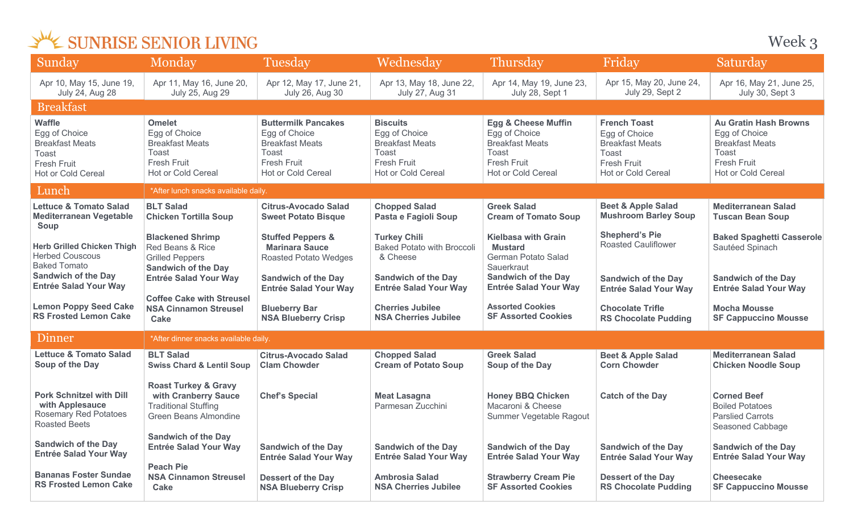Week 3

| Sunday                                                                                                                                           | Monday                                                                                                                              | <b>Tuesday</b>                                                                                                                                      | Wednesday                                                                                                                          | Thursday                                                                                                                                        | Friday                                                                                                              | Saturday                                                                                                              |
|--------------------------------------------------------------------------------------------------------------------------------------------------|-------------------------------------------------------------------------------------------------------------------------------------|-----------------------------------------------------------------------------------------------------------------------------------------------------|------------------------------------------------------------------------------------------------------------------------------------|-------------------------------------------------------------------------------------------------------------------------------------------------|---------------------------------------------------------------------------------------------------------------------|-----------------------------------------------------------------------------------------------------------------------|
| Apr 10, May 15, June 19,<br><b>July 24, Aug 28</b>                                                                                               | Apr 11, May 16, June 20,<br>July 25, Aug 29                                                                                         | Apr 12, May 17, June 21,<br>July 26, Aug 30                                                                                                         | Apr 13, May 18, June 22,<br><b>July 27, Aug 31</b>                                                                                 | Apr 14, May 19, June 23,<br>July 28, Sept 1                                                                                                     | Apr 15, May 20, June 24,<br>July 29, Sept 2                                                                         | Apr 16, May 21, June 25,<br>July 30, Sept 3                                                                           |
| <b>Breakfast</b>                                                                                                                                 |                                                                                                                                     |                                                                                                                                                     |                                                                                                                                    |                                                                                                                                                 |                                                                                                                     |                                                                                                                       |
| <b>Waffle</b><br>Egg of Choice<br><b>Breakfast Meats</b><br>Toast<br>Fresh Fruit<br>Hot or Cold Cereal                                           | <b>Omelet</b><br>Egg of Choice<br><b>Breakfast Meats</b><br>Toast<br>Fresh Fruit<br>Hot or Cold Cereal                              | <b>Buttermilk Pancakes</b><br>Egg of Choice<br><b>Breakfast Meats</b><br>Toast<br><b>Fresh Fruit</b><br>Hot or Cold Cereal                          | <b>Biscuits</b><br>Egg of Choice<br><b>Breakfast Meats</b><br>Toast<br><b>Fresh Fruit</b><br>Hot or Cold Cereal                    | <b>Egg &amp; Cheese Muffin</b><br>Egg of Choice<br><b>Breakfast Meats</b><br>Toast<br>Fresh Fruit<br>Hot or Cold Cereal                         | <b>French Toast</b><br>Egg of Choice<br><b>Breakfast Meats</b><br>Toast<br><b>Fresh Fruit</b><br>Hot or Cold Cereal | <b>Au Gratin Hash Browns</b><br>Egg of Choice<br><b>Breakfast Meats</b><br>Toast<br>Fresh Fruit<br>Hot or Cold Cereal |
| Lunch                                                                                                                                            | *After lunch snacks available daily.                                                                                                |                                                                                                                                                     |                                                                                                                                    |                                                                                                                                                 |                                                                                                                     |                                                                                                                       |
| <b>Lettuce &amp; Tomato Salad</b><br><b>Mediterranean Vegetable</b><br>Soup                                                                      | <b>BLT Salad</b><br><b>Chicken Tortilla Soup</b>                                                                                    | <b>Citrus-Avocado Salad</b><br><b>Sweet Potato Bisque</b>                                                                                           | <b>Chopped Salad</b><br>Pasta e Fagioli Soup                                                                                       | <b>Greek Salad</b><br><b>Cream of Tomato Soup</b>                                                                                               | <b>Beet &amp; Apple Salad</b><br><b>Mushroom Barley Soup</b>                                                        | <b>Mediterranean Salad</b><br><b>Tuscan Bean Soup</b>                                                                 |
| <b>Herb Grilled Chicken Thigh</b><br><b>Herbed Couscous</b><br><b>Baked Tomato</b><br><b>Sandwich of the Day</b><br><b>Entrée Salad Your Way</b> | <b>Blackened Shrimp</b><br>Red Beans & Rice<br><b>Grilled Peppers</b><br><b>Sandwich of the Day</b><br><b>Entrée Salad Your Way</b> | <b>Stuffed Peppers &amp;</b><br><b>Marinara Sauce</b><br><b>Roasted Potato Wedges</b><br><b>Sandwich of the Day</b><br><b>Entrée Salad Your Way</b> | <b>Turkey Chili</b><br><b>Baked Potato with Broccoli</b><br>& Cheese<br><b>Sandwich of the Day</b><br><b>Entrée Salad Your Way</b> | <b>Kielbasa with Grain</b><br><b>Mustard</b><br>German Potato Salad<br>Sauerkraut<br><b>Sandwich of the Day</b><br><b>Entrée Salad Your Way</b> | <b>Shepherd's Pie</b><br><b>Roasted Cauliflower</b><br><b>Sandwich of the Day</b><br><b>Entrée Salad Your Way</b>   | <b>Baked Spaghetti Casserole</b><br>Sautéed Spinach<br><b>Sandwich of the Day</b><br><b>Entrée Salad Your Way</b>     |
| <b>Lemon Poppy Seed Cake</b><br><b>RS Frosted Lemon Cake</b>                                                                                     | <b>Coffee Cake with Streusel</b><br><b>NSA Cinnamon Streusel</b><br><b>Cake</b>                                                     | <b>Blueberry Bar</b><br><b>NSA Blueberry Crisp</b>                                                                                                  | <b>Cherries Jubilee</b><br><b>NSA Cherries Jubilee</b>                                                                             | <b>Assorted Cookies</b><br><b>SF Assorted Cookies</b>                                                                                           | <b>Chocolate Trifle</b><br><b>RS Chocolate Pudding</b>                                                              | <b>Mocha Mousse</b><br><b>SF Cappuccino Mousse</b>                                                                    |
| Dinner                                                                                                                                           | *After dinner snacks available daily.                                                                                               |                                                                                                                                                     |                                                                                                                                    |                                                                                                                                                 |                                                                                                                     |                                                                                                                       |
| <b>Lettuce &amp; Tomato Salad</b><br>Soup of the Day                                                                                             | <b>BLT Salad</b><br><b>Swiss Chard &amp; Lentil Soup</b>                                                                            | <b>Citrus-Avocado Salad</b><br><b>Clam Chowder</b>                                                                                                  | <b>Chopped Salad</b><br><b>Cream of Potato Soup</b>                                                                                | <b>Greek Salad</b><br>Soup of the Day                                                                                                           | <b>Beet &amp; Apple Salad</b><br><b>Corn Chowder</b>                                                                | <b>Mediterranean Salad</b><br><b>Chicken Noodle Soup</b>                                                              |
| <b>Pork Schnitzel with Dill</b><br>with Applesauce<br><b>Rosemary Red Potatoes</b><br><b>Roasted Beets</b>                                       | <b>Roast Turkey &amp; Gravy</b><br>with Cranberry Sauce<br><b>Traditional Stuffing</b><br>Green Beans Almondine                     | <b>Chef's Special</b>                                                                                                                               | <b>Meat Lasagna</b><br>Parmesan Zucchini                                                                                           | <b>Honey BBQ Chicken</b><br>Macaroni & Cheese<br>Summer Vegetable Ragout                                                                        | <b>Catch of the Day</b>                                                                                             | <b>Corned Beef</b><br><b>Boiled Potatoes</b><br><b>Parslied Carrots</b><br>Seasoned Cabbage                           |
| <b>Sandwich of the Day</b><br><b>Entrée Salad Your Way</b>                                                                                       | <b>Sandwich of the Day</b><br><b>Entrée Salad Your Way</b><br><b>Peach Pie</b>                                                      | <b>Sandwich of the Day</b><br><b>Entrée Salad Your Way</b>                                                                                          | <b>Sandwich of the Day</b><br><b>Entrée Salad Your Way</b>                                                                         | <b>Sandwich of the Day</b><br><b>Entrée Salad Your Way</b>                                                                                      | <b>Sandwich of the Day</b><br><b>Entrée Salad Your Way</b>                                                          | <b>Sandwich of the Day</b><br><b>Entrée Salad Your Way</b>                                                            |
| <b>Bananas Foster Sundae</b><br><b>RS Frosted Lemon Cake</b>                                                                                     | <b>NSA Cinnamon Streusel</b><br>Cake                                                                                                | <b>Dessert of the Day</b><br><b>NSA Blueberry Crisp</b>                                                                                             | <b>Ambrosia Salad</b><br><b>NSA Cherries Jubilee</b>                                                                               | <b>Strawberry Cream Pie</b><br><b>SF Assorted Cookies</b>                                                                                       | <b>Dessert of the Day</b><br><b>RS Chocolate Pudding</b>                                                            | <b>Cheesecake</b><br><b>SF Cappuccino Mousse</b>                                                                      |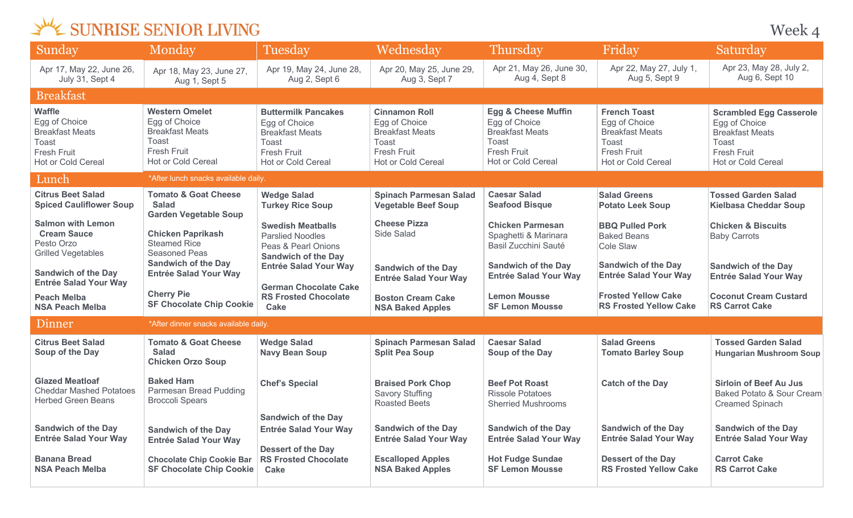Week 4

| Sunday                                                                                                               | Monday                                                                                                                | Tuesday                                                                                                                    | Wednesday                                                                                                            | Thursday                                                                                                                                     | Friday                                                                                                                     | Saturday                                                                                                                       |  |
|----------------------------------------------------------------------------------------------------------------------|-----------------------------------------------------------------------------------------------------------------------|----------------------------------------------------------------------------------------------------------------------------|----------------------------------------------------------------------------------------------------------------------|----------------------------------------------------------------------------------------------------------------------------------------------|----------------------------------------------------------------------------------------------------------------------------|--------------------------------------------------------------------------------------------------------------------------------|--|
| Apr 17, May 22, June 26,<br>July 31, Sept 4                                                                          | Apr 18, May 23, June 27,<br>Aug 1, Sept 5                                                                             | Apr 19, May 24, June 28,<br>Aug 2, Sept 6                                                                                  | Apr 20, May 25, June 29,<br>Aug 3, Sept 7                                                                            | Apr 21, May 26, June 30,<br>Aug 4, Sept 8                                                                                                    | Apr 22, May 27, July 1,<br>Aug 5, Sept 9                                                                                   | Apr 23, May 28, July 2,<br>Aug 6, Sept 10                                                                                      |  |
| <b>Breakfast</b>                                                                                                     |                                                                                                                       |                                                                                                                            |                                                                                                                      |                                                                                                                                              |                                                                                                                            |                                                                                                                                |  |
| <b>Waffle</b><br>Egg of Choice<br><b>Breakfast Meats</b><br>Toast<br><b>Fresh Fruit</b><br><b>Hot or Cold Cereal</b> | <b>Western Omelet</b><br>Egg of Choice<br><b>Breakfast Meats</b><br>Toast<br><b>Fresh Fruit</b><br>Hot or Cold Cereal | <b>Buttermilk Pancakes</b><br>Egg of Choice<br><b>Breakfast Meats</b><br>Toast<br><b>Fresh Fruit</b><br>Hot or Cold Cereal | <b>Cinnamon Roll</b><br>Egg of Choice<br><b>Breakfast Meats</b><br>Toast<br><b>Fresh Fruit</b><br>Hot or Cold Cereal | <b>Egg &amp; Cheese Muffin</b><br>Egg of Choice<br><b>Breakfast Meats</b><br><b>Toast</b><br><b>Fresh Fruit</b><br><b>Hot or Cold Cereal</b> | <b>French Toast</b><br>Egg of Choice<br><b>Breakfast Meats</b><br><b>Toast</b><br><b>Fresh Fruit</b><br>Hot or Cold Cereal | <b>Scrambled Egg Casserole</b><br>Egg of Choice<br><b>Breakfast Meats</b><br>Toast<br><b>Fresh Fruit</b><br>Hot or Cold Cereal |  |
| Lunch                                                                                                                | *After lunch snacks available daily.                                                                                  |                                                                                                                            |                                                                                                                      |                                                                                                                                              |                                                                                                                            |                                                                                                                                |  |
| <b>Citrus Beet Salad</b><br><b>Spiced Cauliflower Soup</b>                                                           | <b>Tomato &amp; Goat Cheese</b><br><b>Salad</b><br><b>Garden Vegetable Soup</b>                                       | <b>Wedge Salad</b><br><b>Turkey Rice Soup</b>                                                                              | <b>Spinach Parmesan Salad</b><br><b>Vegetable Beef Soup</b>                                                          | <b>Caesar Salad</b><br><b>Seafood Bisque</b>                                                                                                 | <b>Salad Greens</b><br><b>Potato Leek Soup</b>                                                                             | <b>Tossed Garden Salad</b><br><b>Kielbasa Cheddar Soup</b>                                                                     |  |
| <b>Salmon with Lemon</b><br><b>Cream Sauce</b><br>Pesto Orzo<br><b>Grilled Vegetables</b>                            | <b>Chicken Paprikash</b><br><b>Steamed Rice</b><br>Seasoned Peas<br><b>Sandwich of the Day</b>                        | <b>Swedish Meatballs</b><br><b>Parslied Noodles</b><br>Peas & Pearl Onions<br><b>Sandwich of the Day</b>                   | <b>Cheese Pizza</b><br>Side Salad                                                                                    | <b>Chicken Parmesan</b><br>Spaghetti & Marinara<br>Basil Zucchini Sauté<br><b>Sandwich of the Day</b>                                        | <b>BBQ Pulled Pork</b><br><b>Baked Beans</b><br>Cole Slaw<br><b>Sandwich of the Day</b>                                    | <b>Chicken &amp; Biscuits</b><br><b>Baby Carrots</b><br><b>Sandwich of the Day</b>                                             |  |
| <b>Sandwich of the Day</b><br><b>Entrée Salad Your Way</b>                                                           | <b>Entrée Salad Your Way</b>                                                                                          | <b>Entrée Salad Your Way</b><br><b>German Chocolate Cake</b>                                                               | <b>Sandwich of the Day</b><br><b>Entrée Salad Your Way</b>                                                           | <b>Entrée Salad Your Way</b>                                                                                                                 | <b>Entrée Salad Your Way</b>                                                                                               | <b>Entrée Salad Your Way</b>                                                                                                   |  |
| <b>Peach Melba</b><br><b>NSA Peach Melba</b>                                                                         | <b>Cherry Pie</b><br><b>SF Chocolate Chip Cookie</b>                                                                  | <b>RS Frosted Chocolate</b><br>Cake                                                                                        | <b>Boston Cream Cake</b><br><b>NSA Baked Apples</b>                                                                  | <b>Lemon Mousse</b><br><b>SF Lemon Mousse</b>                                                                                                | <b>Frosted Yellow Cake</b><br><b>RS Frosted Yellow Cake</b>                                                                | <b>Coconut Cream Custard</b><br><b>RS Carrot Cake</b>                                                                          |  |
| Dinner                                                                                                               | *After dinner snacks available daily.                                                                                 |                                                                                                                            |                                                                                                                      |                                                                                                                                              |                                                                                                                            |                                                                                                                                |  |
| <b>Citrus Beet Salad</b><br>Soup of the Day                                                                          | <b>Tomato &amp; Goat Cheese</b><br><b>Salad</b><br><b>Chicken Orzo Soup</b>                                           | <b>Wedge Salad</b><br><b>Navy Bean Soup</b>                                                                                | <b>Spinach Parmesan Salad</b><br><b>Split Pea Soup</b>                                                               | <b>Caesar Salad</b><br>Soup of the Day                                                                                                       | <b>Salad Greens</b><br><b>Tomato Barley Soup</b>                                                                           | <b>Tossed Garden Salad</b><br><b>Hungarian Mushroom Soup</b>                                                                   |  |
| <b>Glazed Meatloaf</b><br><b>Cheddar Mashed Potatoes</b><br><b>Herbed Green Beans</b>                                | <b>Baked Ham</b><br>Parmesan Bread Pudding<br><b>Broccoli Spears</b>                                                  | <b>Chef's Special</b>                                                                                                      | <b>Braised Pork Chop</b><br><b>Savory Stuffing</b><br><b>Roasted Beets</b>                                           | <b>Beef Pot Roast</b><br><b>Rissole Potatoes</b><br><b>Sherried Mushrooms</b>                                                                | <b>Catch of the Day</b>                                                                                                    | <b>Sirloin of Beef Au Jus</b><br>Baked Potato & Sour Cream<br><b>Creamed Spinach</b>                                           |  |
| <b>Sandwich of the Day</b><br><b>Entrée Salad Your Way</b>                                                           | <b>Sandwich of the Day</b><br><b>Entrée Salad Your Way</b>                                                            | <b>Sandwich of the Day</b><br><b>Entrée Salad Your Way</b><br><b>Dessert of the Day</b>                                    | <b>Sandwich of the Day</b><br><b>Entrée Salad Your Way</b>                                                           | <b>Sandwich of the Day</b><br><b>Entrée Salad Your Way</b>                                                                                   | <b>Sandwich of the Day</b><br><b>Entrée Salad Your Way</b>                                                                 | <b>Sandwich of the Day</b><br><b>Entrée Salad Your Way</b>                                                                     |  |
| <b>Banana Bread</b><br><b>NSA Peach Melba</b>                                                                        | <b>Chocolate Chip Cookie Bar</b><br><b>SF Chocolate Chip Cookie</b>                                                   | <b>RS Frosted Chocolate</b><br>Cake                                                                                        | <b>Escalloped Apples</b><br><b>NSA Baked Apples</b>                                                                  | <b>Hot Fudge Sundae</b><br><b>SF Lemon Mousse</b>                                                                                            | <b>Dessert of the Day</b><br><b>RS Frosted Yellow Cake</b>                                                                 | <b>Carrot Cake</b><br><b>RS Carrot Cake</b>                                                                                    |  |